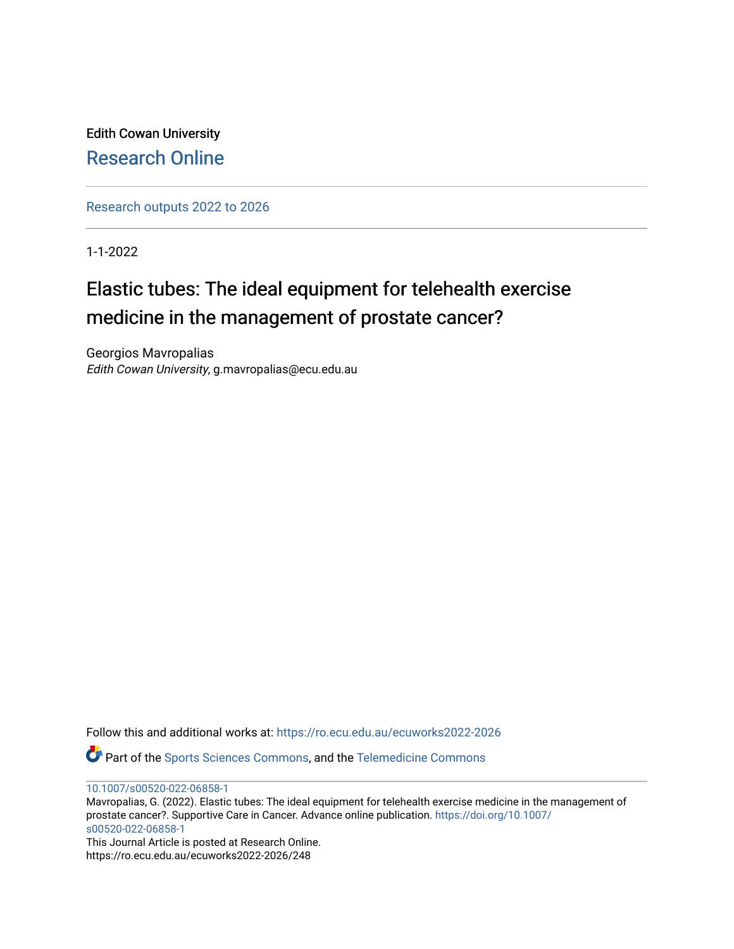Edith Cowan University [Research Online](https://ro.ecu.edu.au/) 

[Research outputs 2022 to 2026](https://ro.ecu.edu.au/ecuworks2022-2026) 

1-1-2022

# Elastic tubes: The ideal equipment for telehealth exercise medicine in the management of prostate cancer?

Georgios Mavropalias Edith Cowan University, g.mavropalias@ecu.edu.au

Follow this and additional works at: [https://ro.ecu.edu.au/ecuworks2022-2026](https://ro.ecu.edu.au/ecuworks2022-2026?utm_source=ro.ecu.edu.au%2Fecuworks2022-2026%2F248&utm_medium=PDF&utm_campaign=PDFCoverPages)

Part of the [Sports Sciences Commons,](http://network.bepress.com/hgg/discipline/759?utm_source=ro.ecu.edu.au%2Fecuworks2022-2026%2F248&utm_medium=PDF&utm_campaign=PDFCoverPages) and the [Telemedicine Commons](http://network.bepress.com/hgg/discipline/1367?utm_source=ro.ecu.edu.au%2Fecuworks2022-2026%2F248&utm_medium=PDF&utm_campaign=PDFCoverPages)

[10.1007/s00520-022-06858-1](http://dx.doi.org/10.1007/s00520-022-06858-1)

Mavropalias, G. (2022). Elastic tubes: The ideal equipment for telehealth exercise medicine in the management of prostate cancer?. Supportive Care in Cancer. Advance online publication. [https://doi.org/10.1007/](https://doi.org/10.1007/s00520-022-06858-1) [s00520-022-06858-1](https://doi.org/10.1007/s00520-022-06858-1) 

This Journal Article is posted at Research Online. https://ro.ecu.edu.au/ecuworks2022-2026/248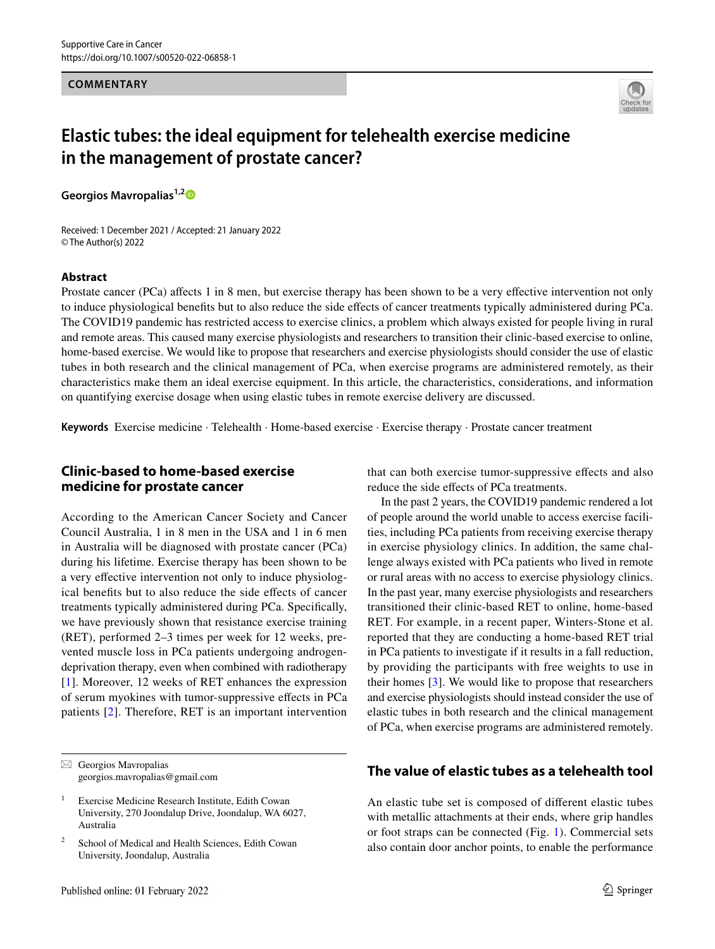#### **COMMENTARY**



# **Elastic tubes: the ideal equipment for telehealth exercise medicine in the management of prostate cancer?**

**Georgios Mavropalias1,[2](http://orcid.org/0000-0001-7753-5693)**

Received: 1 December 2021 / Accepted: 21 January 2022 © The Author(s) 2022

#### **Abstract**

Prostate cancer (PCa) affects 1 in 8 men, but exercise therapy has been shown to be a very effective intervention not only to induce physiological benefts but to also reduce the side efects of cancer treatments typically administered during PCa. The COVID19 pandemic has restricted access to exercise clinics, a problem which always existed for people living in rural and remote areas. This caused many exercise physiologists and researchers to transition their clinic-based exercise to online, home-based exercise. We would like to propose that researchers and exercise physiologists should consider the use of elastic tubes in both research and the clinical management of PCa, when exercise programs are administered remotely, as their characteristics make them an ideal exercise equipment. In this article, the characteristics, considerations, and information on quantifying exercise dosage when using elastic tubes in remote exercise delivery are discussed.

**Keywords** Exercise medicine · Telehealth · Home-based exercise · Exercise therapy · Prostate cancer treatment

# **Clinic‑based to home‑based exercise medicine for prostate cancer**

According to the American Cancer Society and Cancer Council Australia, 1 in 8 men in the USA and 1 in 6 men in Australia will be diagnosed with prostate cancer (PCa) during his lifetime. Exercise therapy has been shown to be a very effective intervention not only to induce physiological benefts but to also reduce the side efects of cancer treatments typically administered during PCa. Specifcally, we have previously shown that resistance exercise training (RET), performed 2–3 times per week for 12 weeks, prevented muscle loss in PCa patients undergoing androgendeprivation therapy, even when combined with radiotherapy [\[1\]](#page-3-0). Moreover, 12 weeks of RET enhances the expression of serum myokines with tumor-suppressive efects in PCa patients [[2](#page-3-1)]. Therefore, RET is an important intervention that can both exercise tumor-suppressive efects and also reduce the side efects of PCa treatments.

In the past 2 years, the COVID19 pandemic rendered a lot of people around the world unable to access exercise facilities, including PCa patients from receiving exercise therapy in exercise physiology clinics. In addition, the same challenge always existed with PCa patients who lived in remote or rural areas with no access to exercise physiology clinics. In the past year, many exercise physiologists and researchers transitioned their clinic-based RET to online, home-based RET. For example, in a recent paper, Winters-Stone et al. reported that they are conducting a home-based RET trial in PCa patients to investigate if it results in a fall reduction, by providing the participants with free weights to use in their homes [\[3](#page-3-2)]. We would like to propose that researchers and exercise physiologists should instead consider the use of elastic tubes in both research and the clinical management of PCa, when exercise programs are administered remotely.

## **The value of elastic tubes as a telehealth tool**

An elastic tube set is composed of diferent elastic tubes with metallic attachments at their ends, where grip handles or foot straps can be connected (Fig. [1](#page-2-0)). Commercial sets also contain door anchor points, to enable the performance

 $\boxtimes$  Georgios Mavropalias georgios.mavropalias@gmail.com

<sup>&</sup>lt;sup>1</sup> Exercise Medicine Research Institute, Edith Cowan University, 270 Joondalup Drive, Joondalup, WA 6027, Australia

<sup>&</sup>lt;sup>2</sup> School of Medical and Health Sciences, Edith Cowan University, Joondalup, Australia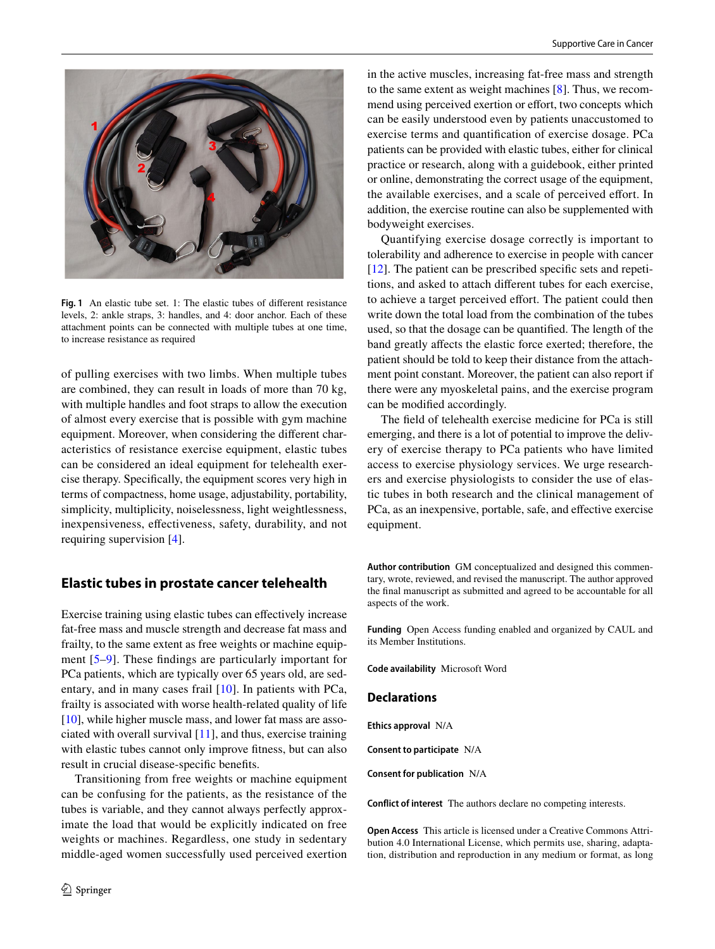

**Fig. 1** An elastic tube set. 1: The elastic tubes of diferent resistance levels, 2: ankle straps, 3: handles, and 4: door anchor. Each of these attachment points can be connected with multiple tubes at one time, to increase resistance as required

<span id="page-2-0"></span>of pulling exercises with two limbs. When multiple tubes are combined, they can result in loads of more than 70 kg, with multiple handles and foot straps to allow the execution of almost every exercise that is possible with gym machine equipment. Moreover, when considering the diferent characteristics of resistance exercise equipment, elastic tubes can be considered an ideal equipment for telehealth exercise therapy. Specifcally, the equipment scores very high in terms of compactness, home usage, adjustability, portability, simplicity, multiplicity, noiselessness, light weightlessness, inexpensiveness, efectiveness, safety, durability, and not requiring supervision [\[4](#page-3-3)].

#### **Elastic tubes in prostate cancer telehealth**

Exercise training using elastic tubes can efectively increase fat-free mass and muscle strength and decrease fat mass and frailty, to the same extent as free weights or machine equipment [\[5](#page-3-4)–[9\]](#page-3-5). These fndings are particularly important for PCa patients, which are typically over 65 years old, are sedentary, and in many cases frail [\[10\]](#page-3-6). In patients with PCa, frailty is associated with worse health-related quality of life [\[10](#page-3-6)], while higher muscle mass, and lower fat mass are associated with overall survival  $[11]$  $[11]$ , and thus, exercise training with elastic tubes cannot only improve ftness, but can also result in crucial disease-specifc benefts.

Transitioning from free weights or machine equipment can be confusing for the patients, as the resistance of the tubes is variable, and they cannot always perfectly approximate the load that would be explicitly indicated on free weights or machines. Regardless, one study in sedentary middle-aged women successfully used perceived exertion in the active muscles, increasing fat-free mass and strength to the same extent as weight machines [[8](#page-3-8)]. Thus, we recommend using perceived exertion or effort, two concepts which can be easily understood even by patients unaccustomed to exercise terms and quantifcation of exercise dosage. PCa patients can be provided with elastic tubes, either for clinical practice or research, along with a guidebook, either printed or online, demonstrating the correct usage of the equipment, the available exercises, and a scale of perceived efort. In addition, the exercise routine can also be supplemented with bodyweight exercises.

Quantifying exercise dosage correctly is important to tolerability and adherence to exercise in people with cancer [[12\]](#page-3-9). The patient can be prescribed specifc sets and repetitions, and asked to attach diferent tubes for each exercise, to achieve a target perceived efort. The patient could then write down the total load from the combination of the tubes used, so that the dosage can be quantifed. The length of the band greatly afects the elastic force exerted; therefore, the patient should be told to keep their distance from the attachment point constant. Moreover, the patient can also report if there were any myoskeletal pains, and the exercise program can be modifed accordingly.

The feld of telehealth exercise medicine for PCa is still emerging, and there is a lot of potential to improve the delivery of exercise therapy to PCa patients who have limited access to exercise physiology services. We urge researchers and exercise physiologists to consider the use of elastic tubes in both research and the clinical management of PCa, as an inexpensive, portable, safe, and effective exercise equipment.

**Author contribution** GM conceptualized and designed this commentary, wrote, reviewed, and revised the manuscript. The author approved the fnal manuscript as submitted and agreed to be accountable for all aspects of the work.

**Funding** Open Access funding enabled and organized by CAUL and its Member Institutions.

**Code availability** Microsoft Word

#### **Declarations**

**Ethics approval** N/A

**Consent to participate** N/A

**Consent for publication** N/A

**Conflict of interest** The authors declare no competing interests.

**Open Access** This article is licensed under a Creative Commons Attribution 4.0 International License, which permits use, sharing, adaptation, distribution and reproduction in any medium or format, as long